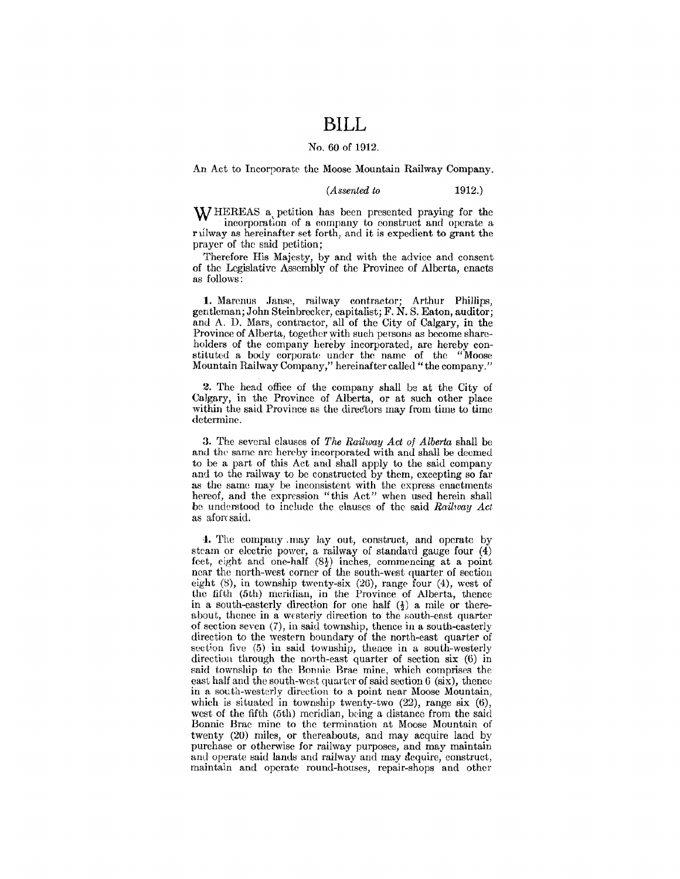### **BILL**

#### No. 60 of 1912.

An Act to Incorporate the Moose Mountain Railway Company.

*(Assented to* 1912.)

WHEREAS a. petition has been presented praying for the incorporation of a company to construet and operate a rulway as hereinafter set forth, and it is expedient to grant the prayer of the said petition;

Therefore His Majesty, by and with the advice and consent of the Legislative Assembly of the Province of Alberta, enacts as follows:

1. Marenus Janse, railway contractor; Arthur Phillips, gentleman; John Steinbrecker, capitalist; F. N. S. Eaton, auditor; and A. D. Mars, contractor, all of the City of Calgary, in the Province of Alberta, together with such persons as become shareholders of the company hereby incorporated, are hereby constituted a body corporate under the name of the "Moose Mountain Railway Company," hereinafter called" the company."

2. The head office of the company shall be at the City of Calgary, in the Province of Alberta, or at such other place within the said Province as the direc'tors may from time to time determine.

3. The several clauses of *The Railway Act* of *Alberta* shall be and the same are hereby incorporated with and shall be deemed to be a part of this Act and shall apply to the said company and to the railway to be constructed by them, excepting so far as the same may be inconsistent with the express enactments hereof, and the expression "this Act" when used herein shall be understood to include the clauses of the said *Railway Act* as aforesaid.

'1. The company .may Jay out, construct, and operate by steam or electric power, a railway of standard gauge four  $(4)$ feet, eight and one-half  $(8\frac{1}{2})$  inches, commencing at a point ncar the north-west corner of the south-west quarter of section eight (S), in township twenty-six (2G), range four (4), west of the fifth (5th) meridian, in the Province of Alberta, thence in a south-easterly direction for one half  $(\frac{1}{2})$  a mile or thereabout, thence in a westerly direction to the south-east quarter of section seven (7), in said township, thence in a south-easterly direction to the western boundary of the north-east quarter of section five (5) in said township, thence in a south-westerly direction through the north-east quarter of section six (6) in said township to the Bonnie Brae mine, which comprises the east half and the south-west quarter of said section  $6$  (six), thence in a south-westerly direction to a point near Moose Mountain, which is situated in township twenty-two (22), range six (6), west of the fifth (5th) meridian, being a distance from the said Bonnie Brae mine to the termination at Moose Mountain of twenty (20) miles, or thereabouts, and may acquire land by purchase or otherwise for railway purposes, and may maintain aml operate said lands and railway and may dcquire, construct, maintain and operate round-houses, repair-shops and other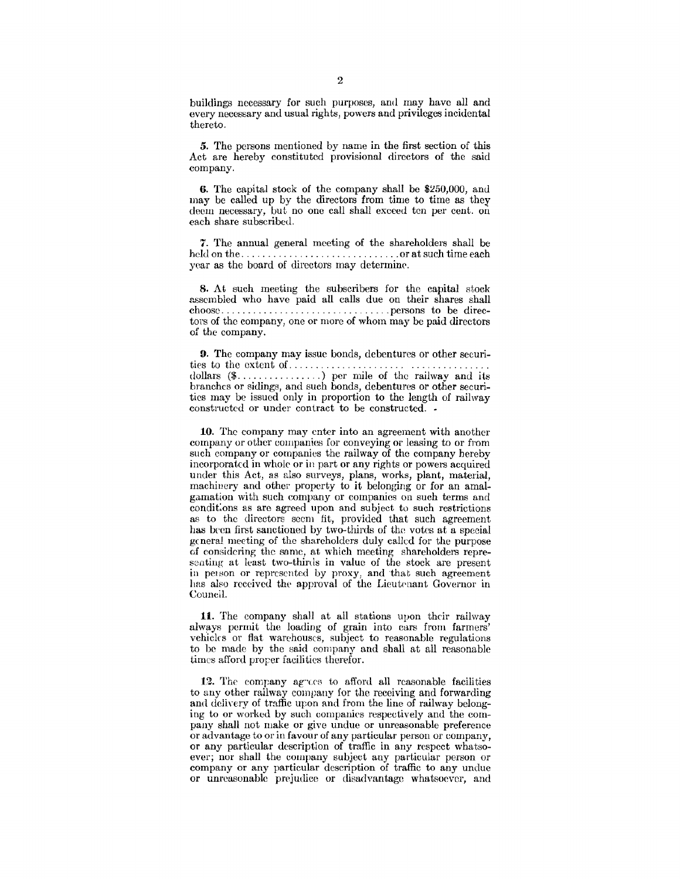buildings necessary for such purposes, and may have all and every necessary and usual rights, powers and privileges incidental thereto.

*5.* The persons mentioned by name in the first section of this Act are hereby constituted provisional directors of the said company.

6. The capital stock of the company shall be  $$250,000$ , and may be called up by the directors from time to time as they deem necessary, but no one call shall exceed ten per cent. on each share subscribed.

7. The annual general meeting of the shareholders shall be held on the .............................. or at such time each year as the board of directors may determine.

8. At such meeting the subscribers for the capital stock assembled who have paid all calls due on their shares shall choose ................................ persons to be directors of the company, one or more of whom may be paid directors of the company.

9. The company may issue bonds, debentures or other securities to the extent of. . . . . . . . . . . . . . . . . . . . . . . ............. . dollars  $(\mathsf{F} \ldots, \ldots, \ldots)$  per mile of the railway and its branches or sidings, and such bonds, debentures or other securities may be issued only in proportion to the length of railway constructed or under contract to be constructed. •

10. The company may enter into an agreement with another company or other companies for conveying or leasing to or from such company or companies the railway of the company hereby incorporated in whole or in part or any rights or powers acquired under this Act, as also surveys, plans, works, plant, material, machinery and other property to it belonging or for an amalgamation with such company or companies on such terms and conditions as are agreed upon and subject to such restrictions as to the directors seem fit, provided that such agreement has been first sanctioned by two-thirds of the votes at a special general meeting of the shareholders duly called for the purpose cf considering the same, at which meeting shareholders representing at least two-thirds in value of the stock are present in person or represented by proxy, and that such agreement has also received the approval of the Lieutenant Governor in Council.

11. The company shall at all stations upon their railway always permit the loading of grain into cars from farmers' vehicks or flat warehouses, subject to reasonable regulations to be made by the said company and shall at all reasonable times afford prorer facilities therefor.

12. The company agrees to afford all reasonable facilities to any other milway company for the receiving and forwarding and delivery of traffic upon and from the line of railway belonging to or worked by such companies respectively and the company shall not make or give undue or unreasonable preference or advantage to or in favour of any particular person or company, or any particular description of traffic in any respect whatsoever; nor shall the company subject any particular person or company or any particular description of traffic to any undue or unreasonable prejudice or disadvantage whatsoever, and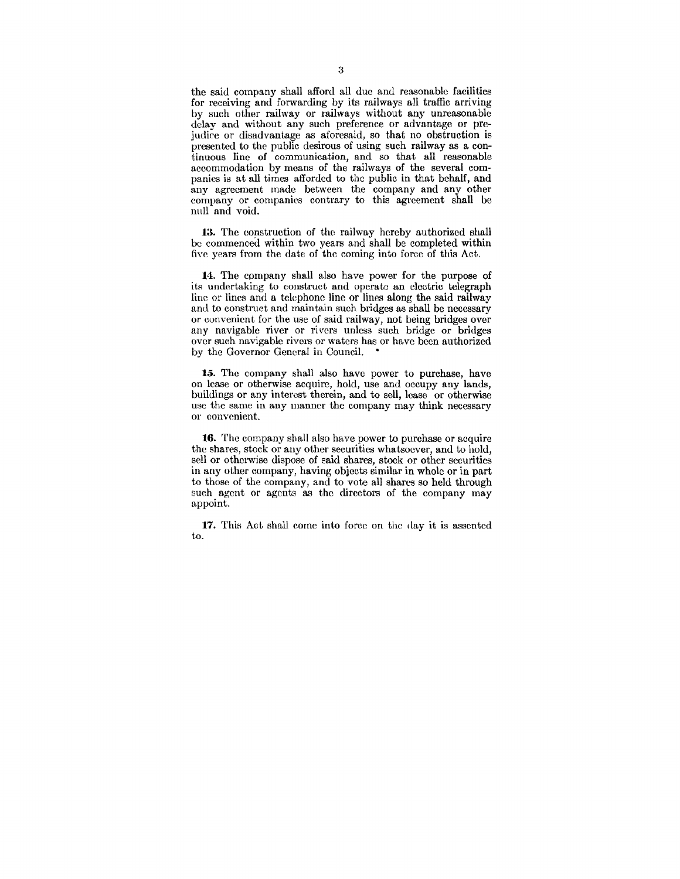the said company shall afford all due and reasonable facilities for receiving and forwarding by its railways all traffic arriving by such other railway or railways without any unreasonable delay and without any such preference or advantage or prejudice or disadvantage as aforesaid, so that no obstruction is presented to the public desirous of using such railway as a continuous line of communication, and so that all reasonable accommodation by means of the railways of the several companies is at all times afforded to the public in that behalf, and any agreement made between the company and any other company or companies contrary to this agreement shall be null and void.

13. The construction of the railway hereby authorized shall be commenced within two years and shall be completed within five years from the date of the coming into force of this Act.

**14.** The company shall also have power for the purpose of its undertaking to construct and operate an electric telegraph line or lines and a telephone line or lines along the said railway and to construct and maintain such bridges as shall be necessary or convenient for the use of said railway, not being bridges over any navigable river or rivers unless such bridge or bridges over sueh navigable rivers or waters has or have been authorized by the Governor General in Council. •

*15.* The company shall also have power to purchase, have on lease or otherwise acquire, hold, use and occupy any lands, buildings or any interest therein, and to sell, lease or otherwise usc the same in any manner the company may think necessary or convenient.

16. The company shall also have power to purchase or acquire the shares, stock or any other securities whatsoever, and to hold. sell or otherwise dispose of said shares, stock or other securities in any other company, having objects similar in whole or in part to those of the company, and to vote all shares so held through such agent or agents as the directors of the company may appoint.

17. This Act shall come into force on the day it is assented to.